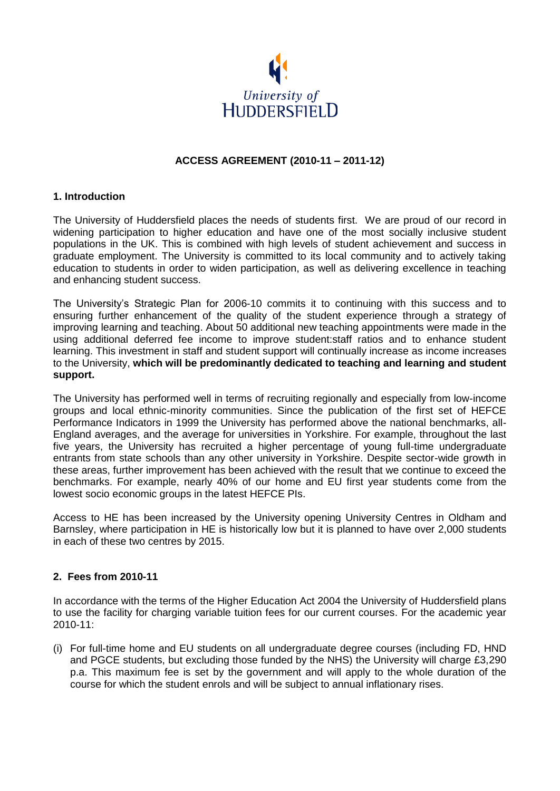

## **ACCESS AGREEMENT (2010-11 – 2011-12)**

#### **1. Introduction**

The University of Huddersfield places the needs of students first. We are proud of our record in widening participation to higher education and have one of the most socially inclusive student populations in the UK. This is combined with high levels of student achievement and success in graduate employment. The University is committed to its local community and to actively taking education to students in order to widen participation, as well as delivering excellence in teaching and enhancing student success.

The University's Strategic Plan for 2006-10 commits it to continuing with this success and to ensuring further enhancement of the quality of the student experience through a strategy of improving learning and teaching. About 50 additional new teaching appointments were made in the using additional deferred fee income to improve student:staff ratios and to enhance student learning. This investment in staff and student support will continually increase as income increases to the University, **which will be predominantly dedicated to teaching and learning and student support.**

The University has performed well in terms of recruiting regionally and especially from low-income groups and local ethnic-minority communities. Since the publication of the first set of HEFCE Performance Indicators in 1999 the University has performed above the national benchmarks, all-England averages, and the average for universities in Yorkshire. For example, throughout the last five years, the University has recruited a higher percentage of young full-time undergraduate entrants from state schools than any other university in Yorkshire. Despite sector-wide growth in these areas, further improvement has been achieved with the result that we continue to exceed the benchmarks. For example, nearly 40% of our home and EU first year students come from the lowest socio economic groups in the latest HEFCE PIs.

Access to HE has been increased by the University opening University Centres in Oldham and Barnsley, where participation in HE is historically low but it is planned to have over 2,000 students in each of these two centres by 2015.

#### **2. Fees from 2010-11**

In accordance with the terms of the Higher Education Act 2004 the University of Huddersfield plans to use the facility for charging variable tuition fees for our current courses. For the academic year 2010-11:

(i) For full-time home and EU students on all undergraduate degree courses (including FD, HND and PGCE students, but excluding those funded by the NHS) the University will charge £3,290 p.a. This maximum fee is set by the government and will apply to the whole duration of the course for which the student enrols and will be subject to annual inflationary rises.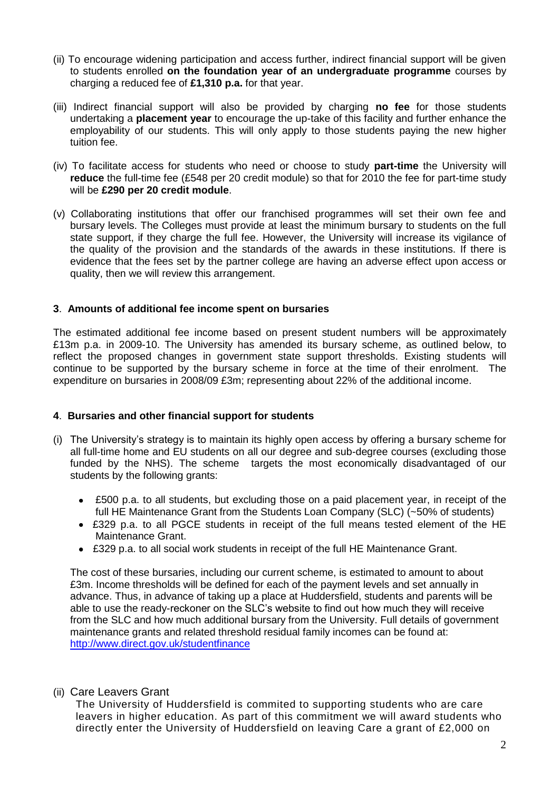- (ii) To encourage widening participation and access further, indirect financial support will be given to students enrolled **on the foundation year of an undergraduate programme** courses by charging a reduced fee of **£1,310 p.a.** for that year.
- (iii) Indirect financial support will also be provided by charging **no fee** for those students undertaking a **placement year** to encourage the up-take of this facility and further enhance the employability of our students. This will only apply to those students paying the new higher tuition fee.
- (iv) To facilitate access for students who need or choose to study **part-time** the University will **reduce** the full-time fee (£548 per 20 credit module) so that for 2010 the fee for part-time study will be **£290 per 20 credit module**.
- (v) Collaborating institutions that offer our franchised programmes will set their own fee and bursary levels. The Colleges must provide at least the minimum bursary to students on the full state support, if they charge the full fee. However, the University will increase its vigilance of the quality of the provision and the standards of the awards in these institutions. If there is evidence that the fees set by the partner college are having an adverse effect upon access or quality, then we will review this arrangement.

#### **3**. **Amounts of additional fee income spent on bursaries**

The estimated additional fee income based on present student numbers will be approximately £13m p.a. in 2009-10. The University has amended its bursary scheme, as outlined below, to reflect the proposed changes in government state support thresholds. Existing students will continue to be supported by the bursary scheme in force at the time of their enrolment. The expenditure on bursaries in 2008/09 £3m; representing about 22% of the additional income.

#### **4**. **Bursaries and other financial support for students**

- (i) The University's strategy is to maintain its highly open access by offering a bursary scheme for all full-time home and EU students on all our degree and sub-degree courses (excluding those funded by the NHS). The scheme targets the most economically disadvantaged of our students by the following grants:
	- £500 p.a. to all students, but excluding those on a paid placement year, in receipt of the full HE Maintenance Grant from the Students Loan Company (SLC) (~50% of students)
	- £329 p.a. to all PGCE students in receipt of the full means tested element of the HE Maintenance Grant.
	- £329 p.a. to all social work students in receipt of the full HE Maintenance Grant.

The cost of these bursaries, including our current scheme, is estimated to amount to about £3m. Income thresholds will be defined for each of the payment levels and set annually in advance. Thus, in advance of taking up a place at Huddersfield, students and parents will be able to use the ready-reckoner on the SLC's website to find out how much they will receive from the SLC and how much additional bursary from the University. Full details of government maintenance grants and related threshold residual family incomes can be found at: <http://www.direct.gov.uk/studentfinance>

(ii) Care Leavers Grant

The University of Huddersfield is commited to supporting students who are care leavers in higher education. As part of this commitment we will award students who directly enter the University of Huddersfield on leaving Care a grant of £2,000 on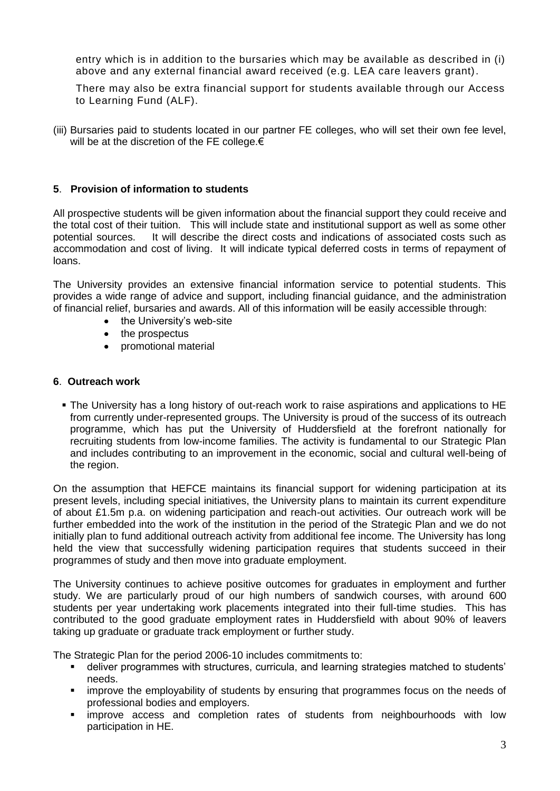entry which is in addition to the bursaries which may be available as described in (i) above and any external financial award received (e.g. LEA care leavers grant).

There may also be extra financial support for students available through our [Access](http://www.brad.ac.uk/external/tuitionfees/support/alf.php)  [to Learning Fund](http://www.brad.ac.uk/external/tuitionfees/support/alf.php) (ALF).

(iii) Bursaries paid to students located in our partner FE colleges, who will set their own fee level, will be at the discretion of the FE college.€

## **5**. **Provision of information to students**

All prospective students will be given information about the financial support they could receive and the total cost of their tuition. This will include state and institutional support as well as some other potential sources. It will describe the direct costs and indications of associated costs such as accommodation and cost of living. It will indicate typical deferred costs in terms of repayment of loans.

The University provides an extensive financial information service to potential students. This provides a wide range of advice and support, including financial guidance, and the administration of financial relief, bursaries and awards. All of this information will be easily accessible through:

- the University's web-site
- the prospectus
- promotional material  $\bullet$

#### **6**. **Outreach work**

 The University has a long history of out-reach work to raise aspirations and applications to HE from currently under-represented groups. The University is proud of the success of its outreach programme, which has put the University of Huddersfield at the forefront nationally for recruiting students from low-income families. The activity is fundamental to our Strategic Plan and includes contributing to an improvement in the economic, social and cultural well-being of the region.

On the assumption that HEFCE maintains its financial support for widening participation at its present levels, including special initiatives, the University plans to maintain its current expenditure of about £1.5m p.a. on widening participation and reach-out activities. Our outreach work will be further embedded into the work of the institution in the period of the Strategic Plan and we do not initially plan to fund additional outreach activity from additional fee income. The University has long held the view that successfully widening participation requires that students succeed in their programmes of study and then move into graduate employment.

The University continues to achieve positive outcomes for graduates in employment and further study. We are particularly proud of our high numbers of sandwich courses, with around 600 students per year undertaking work placements integrated into their full-time studies. This has contributed to the good graduate employment rates in Huddersfield with about 90% of leavers taking up graduate or graduate track employment or further study.

The Strategic Plan for the period 2006-10 includes commitments to:

- deliver programmes with structures, curricula, and learning strategies matched to students' needs.
- **EX improve the employability of students by ensuring that programmes focus on the needs of** professional bodies and employers.
- improve access and completion rates of students from neighbourhoods with low participation in HE.